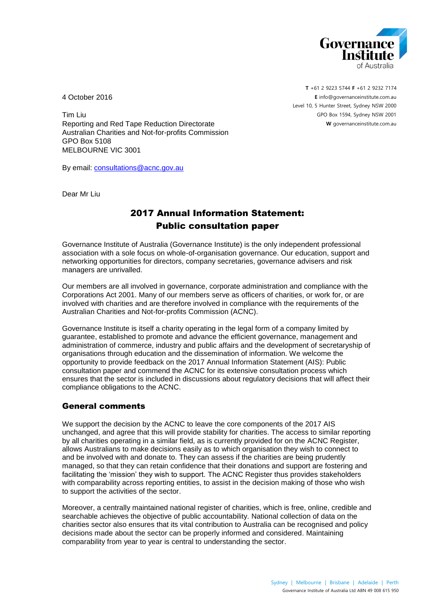

4 October 2016

**T** +61 2 9223 5744 **F** +61 2 9232 7174 **E** [info@governanceinstitute.com.au](mailto:info@governanceinstitute.com.au) Level 10, 5 Hunter Street, Sydney NSW 2000 GPO Box 1594, Sydney NSW 2001 **W** governanceinstitute.com.au

Tim Liu Reporting and Red Tape Reduction Directorate Australian Charities and Not-for-profits Commission GPO Box 5108 MELBOURNE VIC 3001

By email: [consultations@acnc.gov.au](mailto:consultations@acnc.gov.au)

Dear Mr Liu

# 2017 Annual Information Statement: Public consultation paper

Governance Institute of Australia (Governance Institute) is the only independent professional association with a sole focus on whole-of-organisation governance. Our education, support and networking opportunities for directors, company secretaries, governance advisers and risk managers are unrivalled.

Our members are all involved in governance, corporate administration and compliance with the Corporations Act 2001. Many of our members serve as officers of charities, or work for, or are involved with charities and are therefore involved in compliance with the requirements of the Australian Charities and Not-for-profits Commission (ACNC).

Governance Institute is itself a charity operating in the legal form of a company limited by guarantee, established to promote and advance the efficient governance, management and administration of commerce, industry and public affairs and the development of secretaryship of organisations through education and the dissemination of information. We welcome the opportunity to provide feedback on the 2017 Annual Information Statement (AIS): Public consultation paper and commend the ACNC for its extensive consultation process which ensures that the sector is included in discussions about regulatory decisions that will affect their compliance obligations to the ACNC.

# General comments

We support the decision by the ACNC to leave the core components of the 2017 AIS unchanged, and agree that this will provide stability for charities. The access to similar reporting by all charities operating in a similar field, as is currently provided for on the ACNC Register, allows Australians to make decisions easily as to which organisation they wish to connect to and be involved with and donate to. They can assess if the charities are being prudently managed, so that they can retain confidence that their donations and support are fostering and facilitating the 'mission' they wish to support. The ACNC Register thus provides stakeholders with comparability across reporting entities, to assist in the decision making of those who wish to support the activities of the sector.

Moreover, a centrally maintained national register of charities, which is free, online, credible and searchable achieves the objective of public accountability. National collection of data on the charities sector also ensures that its vital contribution to Australia can be recognised and policy decisions made about the sector can be properly informed and considered. Maintaining comparability from year to year is central to understanding the sector.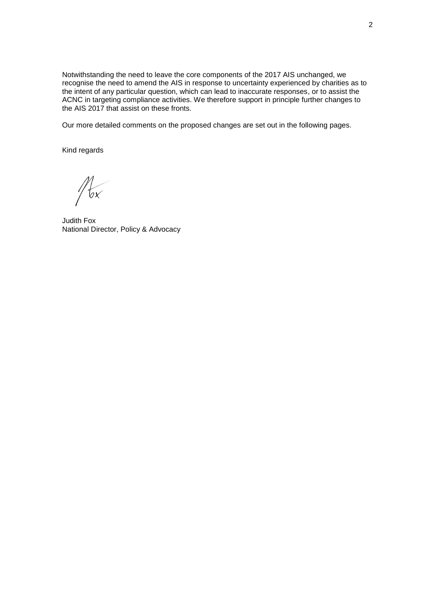Notwithstanding the need to leave the core components of the 2017 AIS unchanged, we recognise the need to amend the AIS in response to uncertainty experienced by charities as to the intent of any particular question, which can lead to inaccurate responses, or to assist the ACNC in targeting compliance activities. We therefore support in principle further changes to the AIS 2017 that assist on these fronts.

Our more detailed comments on the proposed changes are set out in the following pages.

Kind regards

 $\frac{7}{2}$  $\frac{1}{6x}$ 

Judith Fox National Director, Policy & Advocacy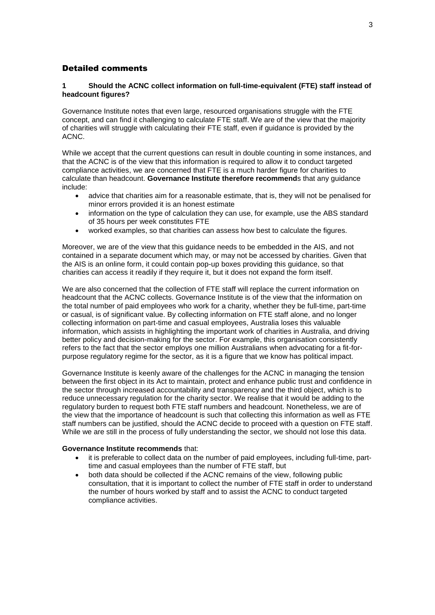# Detailed comments

# **1 Should the ACNC collect information on full-time-equivalent (FTE) staff instead of headcount figures?**

Governance Institute notes that even large, resourced organisations struggle with the FTE concept, and can find it challenging to calculate FTE staff. We are of the view that the majority of charities will struggle with calculating their FTE staff, even if guidance is provided by the ACNC.

While we accept that the current questions can result in double counting in some instances, and that the ACNC is of the view that this information is required to allow it to conduct targeted compliance activities, we are concerned that FTE is a much harder figure for charities to calculate than headcount. **Governance Institute therefore recommend**s that any guidance include:

- advice that charities aim for a reasonable estimate, that is, they will not be penalised for minor errors provided it is an honest estimate
- information on the type of calculation they can use, for example, use the ABS standard of 35 hours per week constitutes FTE
- worked examples, so that charities can assess how best to calculate the figures.

Moreover, we are of the view that this guidance needs to be embedded in the AIS, and not contained in a separate document which may, or may not be accessed by charities. Given that the AIS is an online form, it could contain pop-up boxes providing this guidance, so that charities can access it readily if they require it, but it does not expand the form itself.

We are also concerned that the collection of FTE staff will replace the current information on headcount that the ACNC collects. Governance Institute is of the view that the information on the total number of paid employees who work for a charity, whether they be full-time, part-time or casual, is of significant value. By collecting information on FTE staff alone, and no longer collecting information on part-time and casual employees, Australia loses this valuable information, which assists in highlighting the important work of charities in Australia, and driving better policy and decision-making for the sector. For example, this organisation consistently refers to the fact that the sector employs one million Australians when advocating for a fit-forpurpose regulatory regime for the sector, as it is a figure that we know has political impact.

Governance Institute is keenly aware of the challenges for the ACNC in managing the tension between the first object in its Act to maintain, protect and enhance public trust and confidence in the sector through increased accountability and transparency and the third object, which is to reduce unnecessary regulation for the charity sector. We realise that it would be adding to the regulatory burden to request both FTE staff numbers and headcount. Nonetheless, we are of the view that the importance of headcount is such that collecting this information as well as FTE staff numbers can be justified, should the ACNC decide to proceed with a question on FTE staff. While we are still in the process of fully understanding the sector, we should not lose this data.

#### **Governance Institute recommends** that:

- it is preferable to collect data on the number of paid employees, including full-time, parttime and casual employees than the number of FTE staff, but
- both data should be collected if the ACNC remains of the view, following public consultation, that it is important to collect the number of FTE staff in order to understand the number of hours worked by staff and to assist the ACNC to conduct targeted compliance activities.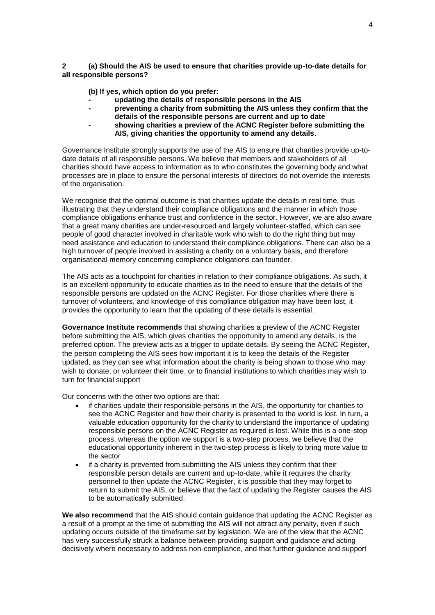**2 (a) Should the AIS be used to ensure that charities provide up-to-date details for all responsible persons?**

**(b) If yes, which option do you prefer:**

- **- updating the details of responsible persons in the AIS**
- **- preventing a charity from submitting the AIS unless they confirm that the details of the responsible persons are current and up to date**
- **- showing charities a preview of the ACNC Register before submitting the AIS, giving charities the opportunity to amend any details**.

Governance Institute strongly supports the use of the AIS to ensure that charities provide up-todate details of all responsible persons. We believe that members and stakeholders of all charities should have access to information as to who constitutes the governing body and what processes are in place to ensure the personal interests of directors do not override the interests of the organisation.

We recognise that the optimal outcome is that charities update the details in real time, thus illustrating that they understand their compliance obligations and the manner in which those compliance obligations enhance trust and confidence in the sector. However, we are also aware that a great many charities are under-resourced and largely volunteer-staffed, which can see people of good character involved in charitable work who wish to do the right thing but may need assistance and education to understand their compliance obligations. There can also be a high turnover of people involved in assisting a charity on a voluntary basis, and therefore organisational memory concerning compliance obligations can founder.

The AIS acts as a touchpoint for charities in relation to their compliance obligations. As such, it is an excellent opportunity to educate charities as to the need to ensure that the details of the responsible persons are updated on the ACNC Register. For those charities where there is turnover of volunteers, and knowledge of this compliance obligation may have been lost, it provides the opportunity to learn that the updating of these details is essential.

**Governance Institute recommends** that showing charities a preview of the ACNC Register before submitting the AIS, which gives charities the opportunity to amend any details, is the preferred option. The preview acts as a trigger to update details. By seeing the ACNC Register, the person completing the AIS sees how important it is to keep the details of the Register updated, as they can see what information about the charity is being shown to those who may wish to donate, or volunteer their time, or to financial institutions to which charities may wish to turn for financial support

Our concerns with the other two options are that:

- if charities update their responsible persons in the AIS, the opportunity for charities to see the ACNC Register and how their charity is presented to the world is lost. In turn, a valuable education opportunity for the charity to understand the importance of updating responsible persons on the ACNC Register as required is lost. While this is a one-stop process, whereas the option we support is a two-step process, we believe that the educational opportunity inherent in the two-step process is likely to bring more value to the sector
- if a charity is prevented from submitting the AIS unless they confirm that their responsible person details are current and up-to-date, while it requires the charity personnel to then update the ACNC Register, it is possible that they may forget to return to submit the AIS, or believe that the fact of updating the Register causes the AIS to be automatically submitted.

**We also recommend** that the AIS should contain guidance that updating the ACNC Register as a result of a prompt at the time of submitting the AIS will not attract any penalty, even if such updating occurs outside of the timeframe set by legislation. We are of the view that the ACNC has very successfully struck a balance between providing support and guidance and acting decisively where necessary to address non-compliance, and that further guidance and support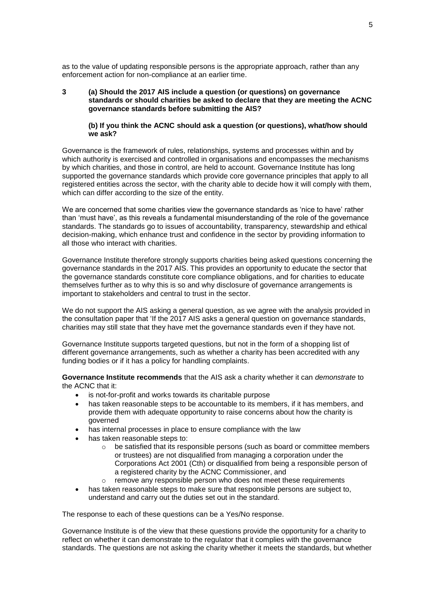as to the value of updating responsible persons is the appropriate approach, rather than any enforcement action for non-compliance at an earlier time.

## **3 (a) Should the 2017 AIS include a question (or questions) on governance standards or should charities be asked to declare that they are meeting the ACNC governance standards before submitting the AIS?**

#### **(b) If you think the ACNC should ask a question (or questions), what/how should we ask?**

Governance is the framework of rules, relationships, systems and processes within and by which authority is exercised and controlled in organisations and encompasses the mechanisms by which charities, and those in control, are held to account. Governance Institute has long supported the governance standards which provide core governance principles that apply to all registered entities across the sector, with the charity able to decide how it will comply with them, which can differ according to the size of the entity.

We are concerned that some charities view the governance standards as 'nice to have' rather than 'must have', as this reveals a fundamental misunderstanding of the role of the governance standards. The standards go to issues of accountability, transparency, stewardship and ethical decision-making, which enhance trust and confidence in the sector by providing information to all those who interact with charities.

Governance Institute therefore strongly supports charities being asked questions concerning the governance standards in the 2017 AIS. This provides an opportunity to educate the sector that the governance standards constitute core compliance obligations, and for charities to educate themselves further as to why this is so and why disclosure of governance arrangements is important to stakeholders and central to trust in the sector.

We do not support the AIS asking a general question, as we agree with the analysis provided in the consultation paper that 'If the 2017 AIS asks a general question on governance standards, charities may still state that they have met the governance standards even if they have not.

Governance Institute supports targeted questions, but not in the form of a shopping list of different governance arrangements, such as whether a charity has been accredited with any funding bodies or if it has a policy for handling complaints.

**Governance Institute recommends** that the AIS ask a charity whether it can *demonstrate* to the ACNC that it:

- is not-for-profit and works towards its charitable purpose
- has taken reasonable steps to be accountable to its members, if it has members, and provide them with adequate opportunity to raise concerns about how the charity is governed
- has internal processes in place to ensure compliance with the law
- has taken reasonable steps to:
	- $\circ$  be satisfied that its responsible persons (such as board or committee members or trustees) are not disqualified from managing a corporation under the Corporations Act 2001 (Cth) or disqualified from being a responsible person of a registered charity by the ACNC Commissioner, and
	- o remove any responsible person who does not meet these requirements
- has taken reasonable steps to make sure that responsible persons are subject to, understand and carry out the duties set out in the standard.

The response to each of these questions can be a Yes/No response.

Governance Institute is of the view that these questions provide the opportunity for a charity to reflect on whether it can demonstrate to the regulator that it complies with the governance standards. The questions are not asking the charity whether it meets the standards, but whether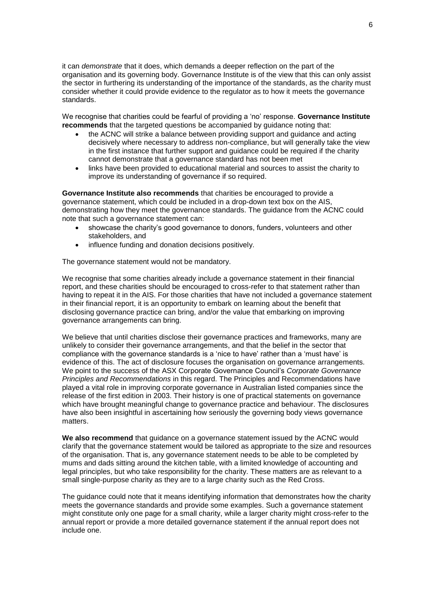it can *demonstrate* that it does, which demands a deeper reflection on the part of the organisation and its governing body. Governance Institute is of the view that this can only assist the sector in furthering its understanding of the importance of the standards, as the charity must consider whether it could provide evidence to the regulator as to how it meets the governance standards.

We recognise that charities could be fearful of providing a 'no' response. **Governance Institute recommends** that the targeted questions be accompanied by quidance noting that:

- the ACNC will strike a balance between providing support and guidance and acting decisively where necessary to address non-compliance, but will generally take the view in the first instance that further support and guidance could be required if the charity cannot demonstrate that a governance standard has not been met
- links have been provided to educational material and sources to assist the charity to improve its understanding of governance if so required.

**Governance Institute also recommends** that charities be encouraged to provide a governance statement, which could be included in a drop-down text box on the AIS, demonstrating how they meet the governance standards. The guidance from the ACNC could note that such a governance statement can:

- showcase the charity's good governance to donors, funders, volunteers and other stakeholders, and
- influence funding and donation decisions positively.

The governance statement would not be mandatory.

We recognise that some charities already include a governance statement in their financial report, and these charities should be encouraged to cross-refer to that statement rather than having to repeat it in the AIS. For those charities that have not included a governance statement in their financial report, it is an opportunity to embark on learning about the benefit that disclosing governance practice can bring, and/or the value that embarking on improving governance arrangements can bring.

We believe that until charities disclose their governance practices and frameworks, many are unlikely to consider their governance arrangements, and that the belief in the sector that compliance with the governance standards is a 'nice to have' rather than a 'must have' is evidence of this. The act of disclosure focuses the organisation on governance arrangements. We point to the success of the ASX Corporate Governance Council's *Corporate Governance Principles and Recommendations* in this regard. The Principles and Recommendations have played a vital role in improving corporate governance in Australian listed companies since the release of the first edition in 2003. Their history is one of practical statements on governance which have brought meaningful change to governance practice and behaviour. The disclosures have also been insightful in ascertaining how seriously the governing body views governance matters.

**We also recommend** that guidance on a governance statement issued by the ACNC would clarify that the governance statement would be tailored as appropriate to the size and resources of the organisation. That is, any governance statement needs to be able to be completed by mums and dads sitting around the kitchen table, with a limited knowledge of accounting and legal principles, but who take responsibility for the charity. These matters are as relevant to a small single-purpose charity as they are to a large charity such as the Red Cross.

The guidance could note that it means identifying information that demonstrates how the charity meets the governance standards and provide some examples. Such a governance statement might constitute only one page for a small charity, while a larger charity might cross-refer to the annual report or provide a more detailed governance statement if the annual report does not include one.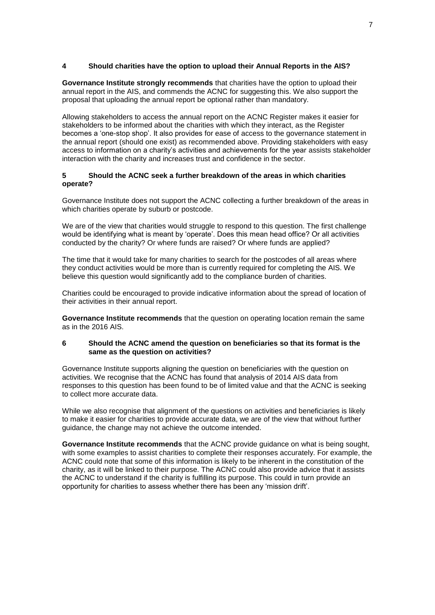# **4 Should charities have the option to upload their Annual Reports in the AIS?**

**Governance Institute strongly recommends** that charities have the option to upload their annual report in the AIS, and commends the ACNC for suggesting this. We also support the proposal that uploading the annual report be optional rather than mandatory.

Allowing stakeholders to access the annual report on the ACNC Register makes it easier for stakeholders to be informed about the charities with which they interact, as the Register becomes a 'one-stop shop'. It also provides for ease of access to the governance statement in the annual report (should one exist) as recommended above. Providing stakeholders with easy access to information on a charity's activities and achievements for the year assists stakeholder interaction with the charity and increases trust and confidence in the sector.

## **5 Should the ACNC seek a further breakdown of the areas in which charities operate?**

Governance Institute does not support the ACNC collecting a further breakdown of the areas in which charities operate by suburb or postcode.

We are of the view that charities would struggle to respond to this question. The first challenge would be identifying what is meant by 'operate'. Does this mean head office? Or all activities conducted by the charity? Or where funds are raised? Or where funds are applied?

The time that it would take for many charities to search for the postcodes of all areas where they conduct activities would be more than is currently required for completing the AIS. We believe this question would significantly add to the compliance burden of charities.

Charities could be encouraged to provide indicative information about the spread of location of their activities in their annual report.

**Governance Institute recommends** that the question on operating location remain the same as in the 2016 AIS.

#### **6 Should the ACNC amend the question on beneficiaries so that its format is the same as the question on activities?**

Governance Institute supports aligning the question on beneficiaries with the question on activities. We recognise that the ACNC has found that analysis of 2014 AIS data from responses to this question has been found to be of limited value and that the ACNC is seeking to collect more accurate data.

While we also recognise that alignment of the questions on activities and beneficiaries is likely to make it easier for charities to provide accurate data, we are of the view that without further guidance, the change may not achieve the outcome intended.

**Governance Institute recommends** that the ACNC provide guidance on what is being sought, with some examples to assist charities to complete their responses accurately. For example, the ACNC could note that some of this information is likely to be inherent in the constitution of the charity, as it will be linked to their purpose. The ACNC could also provide advice that it assists the ACNC to understand if the charity is fulfilling its purpose. This could in turn provide an opportunity for charities to assess whether there has been any 'mission drift'.